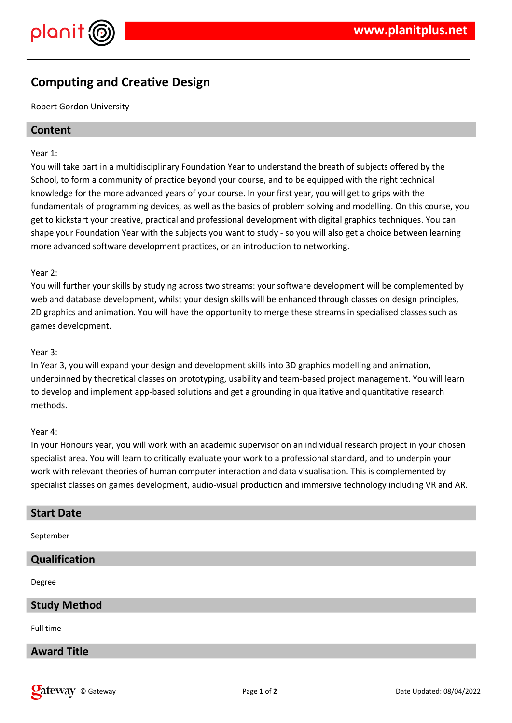



# **Computing and Creative Design**

Robert Gordon University

# **Content**

#### Year 1:

You will take part in a multidisciplinary Foundation Year to understand the breath of subjects offered by the School, to form a community of practice beyond your course, and to be equipped with the right technical knowledge for the more advanced years of your course. In your first year, you will get to grips with the fundamentals of programming devices, as well as the basics of problem solving and modelling. On this course, you get to kickstart your creative, practical and professional development with digital graphics techniques. You can shape your Foundation Year with the subjects you want to study - so you will also get a choice between learning more advanced software development practices, or an introduction to networking.

## Year 2:

You will further your skills by studying across two streams: your software development will be complemented by web and database development, whilst your design skills will be enhanced through classes on design principles, 2D graphics and animation. You will have the opportunity to merge these streams in specialised classes such as games development.

## Year 3:

In Year 3, you will expand your design and development skills into 3D graphics modelling and animation, underpinned by theoretical classes on prototyping, usability and team-based project management. You will learn to develop and implement app-based solutions and get a grounding in qualitative and quantitative research methods.

#### Year 4:

In your Honours year, you will work with an academic supervisor on an individual research project in your chosen specialist area. You will learn to critically evaluate your work to a professional standard, and to underpin your work with relevant theories of human computer interaction and data visualisation. This is complemented by specialist classes on games development, audio-visual production and immersive technology including VR and AR.

## **Start Date**

September

# **Qualification**

Degree

## **Study Method**

Full time

# **Award Title**